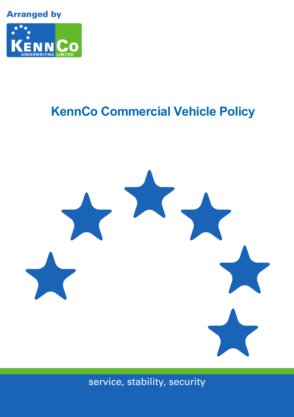Arranged by



## **KennCo Commercial Vehicle Policy**



service, stability, security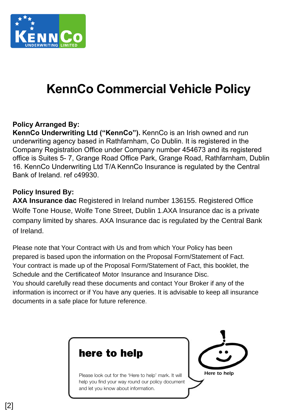

## **KennCo Commercial Vehicle Policy**

### **Policy Arranged By:**

**KennCo Underwriting Ltd ("KennCo").** KennCo is an Irish owned and run underwriting agency based in Rathfarnham, Co Dublin. It is registered in the Company Registration Office under Company number 454673 and its registered office is Suites 5- 7, Grange Road Office Park, Grange Road, Rathfarnham, Dublin 16. KennCo Underwriting Ltd T/A KennCo Insurance is regulated by the Central Bank of Ireland. ref c49930.

### **Policy Insured By:**

**AXA Insurance dac** Registered in Ireland number 136155. Registered Office Wolfe Tone House, Wolfe Tone Street, Dublin 1.AXA Insurance dac is a private company limited by shares. AXA Insurance dac is regulated by the Central Bank of Ireland.

Please note that Your Contract with Us and from which Your Policy has been prepared is based upon the information on the Proposal Form/Statement of Fact. Your contract is made up of the Proposal Form/Statement of Fact, this booklet, the Schedule and the Certificateof Motor Insurance and Insurance Disc. You should carefully read these documents and contact Your Broker if any of the information is incorrect or if You have any queries. It is advisable to keep all insurance documents in a safe place for future reference.

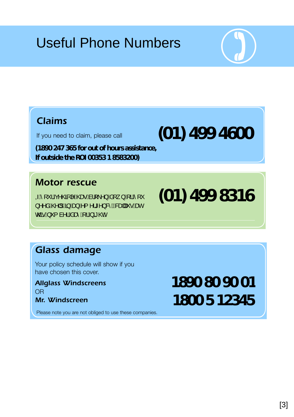## Useful Phone Numbers



## *Claims*

If you need to claim, please call

**(1890 247 365 for out of hours assistance, If outside the ROI 00353 1 8583200)**

## *Motor rescue*

GÁ [ " ¦Áç^@BG|^Á@ee Áa¦ [ \^}Áa[ \_ }Á[¦Á [ "  $\lambda \wedge \lambda \hat{\alpha}$ (Q)  $\parallel \hat{A}\hat{\beta}$   $\stackrel{\wedge}{\longrightarrow}$   $\hat{A}\lambda$  {  $\wedge$  {\*  $\wedge$  } &  $\stackrel{\wedge}{\longrightarrow}$   $\stackrel{\wedge}{\longrightarrow}$   $\stackrel{\wedge}{\longrightarrow}$   $\stackrel{\wedge}{\longrightarrow}$   $\stackrel{\wedge}{\longrightarrow}$   $\stackrel{\wedge}{\longrightarrow}$   $\stackrel{\wedge}{\longrightarrow}$   $\stackrel{\wedge}{\longrightarrow}$   $\stackrel{\wedge}{\longrightarrow}$   $\stackrel{\wedge}{\longrightarrow}$   $\stackrel{\wedge}{\longrightarrow}$   $\stack$ o Con Á '{ à ' l Á a cè Á l Á a ce È

# *Glass damage*

Your policy schedule will show if you have chosen this cover.

*Allglass Windscreens* OR *Mr. Windscreen*

Please note you are not obliged to use these companies.

# **1890 80 90 01 1800 5 12345**

**(01) 499 8316**

**(01) 499 4600**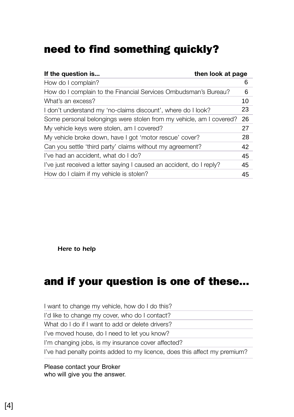## need to find something quickly?

| then look at page<br>If the question is                              |    |
|----------------------------------------------------------------------|----|
| How do I complain?                                                   | 6  |
| How do I complain to the Financial Services Ombudsman's Bureau?      | 6  |
| What's an excess?                                                    | 10 |
| I don't understand my 'no-claims discount', where do I look?         | 23 |
| Some personal belongings were stolen from my vehicle, am I covered?  | 26 |
| My vehicle keys were stolen, am I covered?                           | 27 |
| My vehicle broke down, have I got 'motor rescue' cover?              | 28 |
| Can you settle 'third party' claims without my agreement?            | 42 |
| I've had an accident, what do I do?                                  | 45 |
| l've just received a letter saying I caused an accident, do I reply? | 45 |
| How do I claim if my vehicle is stolen?                              | 45 |

*Here to help*

## and if your question is one of these...

I want to change my vehicle, how do I do this? I'd like to change my cover, who do I contact? What do I do if I want to add or delete drivers? I've moved house, do I need to let you know? I'm changing jobs, is my insurance cover affected? I've had penalty points added to my licence, does this affect my premium?

Please contact your Broker who will give you the answer.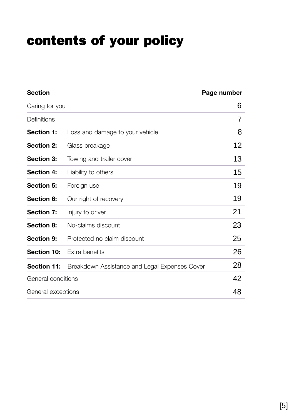## contents of your policy

| <b>Section</b>     |                                               | Page number |
|--------------------|-----------------------------------------------|-------------|
| Caring for you     |                                               | 6           |
| Definitions        |                                               | 7           |
| Section 1:         | Loss and damage to your vehicle               | 8           |
| <b>Section 2:</b>  | Glass breakage                                | 12          |
| Section 3:         | Towing and trailer cover                      | 13          |
| Section 4:         | Liability to others                           | 15          |
| Section 5:         | Foreign use                                   | 19          |
| Section 6:         | Our right of recovery                         | 19          |
| Section 7:         | Injury to driver                              | 21          |
| Section 8:         | No-claims discount                            | 23          |
| Section 9:         | Protected no claim discount                   | 25          |
| <b>Section 10:</b> | Extra benefits                                | 26          |
| Section 11:        | Breakdown Assistance and Legal Expenses Cover | 28          |
| General conditions |                                               | 42          |
| General exceptions |                                               | 48          |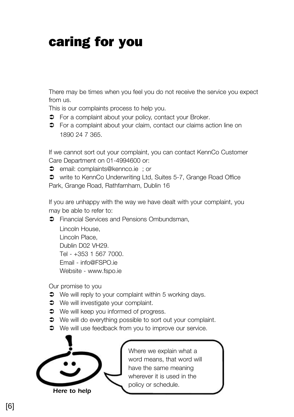## caring for you

There may be times when you feel you do not receive the service you expect from us.

This is our complaints process to help you.

- $\supset$  For a complaint about your policy, contact your Broker.
- 1890 24 7 365.  $\supset$  For a complaint about your claim, contact our claims action line on

If we cannot sort out your complaint, you can contact KennCo Customer Care Department on 01-4994600 or:

 $\supset$  email: complaints@kennco.ie : or

 write to KennCo Underwriting Ltd, Suites 5-7, Grange Road Office Park, Grange Road, Rathfarnham, Dublin 16

If you are unhappy with the way we have dealt with your complaint, you may be able to refer to:

 $\supset$  Financial Services and Pensions Ombundsman,

Lincoln House, Lincoln Place, Dublin D02 VH29. Tel - +353 1 567 7000. Email - info@FSPO.ie Website - www.fspo.ie

Our promise to you

- $\bullet$  We will reply to your complaint within 5 working days.
- $\bullet$  We will investigate your complaint.
- $\bullet$  We will keep you informed of progress.
- $\bullet$  We will do everything possible to sort out your complaint.
- $\supset$  We will use feedback from you to improve our service.



Where we explain what a word means, that word will have the same meaning wherever it is used in the policy or schedule.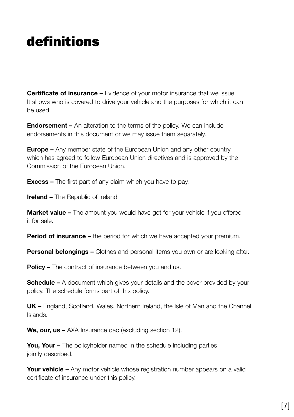## definitions

**Certificate of insurance –** Evidence of your motor insurance that we issue. It shows who is covered to drive your vehicle and the purposes for which it can be used.

**Endorsement –** An alteration to the terms of the policy. We can include endorsements in this document or we may issue them separately.

**Europe –** Any member state of the European Union and any other country which has agreed to follow European Union directives and is approved by the Commission of the European Union.

**Excess –** The first part of any claim which you have to pay.

**Ireland –** The Republic of Ireland

**Market value –** The amount you would have got for your vehicle if you offered it for sale.

**Period of insurance –** the period for which we have accepted your premium.

**Personal belongings –** Clothes and personal items you own or are looking after.

**Policy –** The contract of insurance between you and us.

**Schedule –** A document which gives your details and the cover provided by your policy. The schedule forms part of this policy.

**UK –** England, Scotland, Wales, Northern Ireland, the Isle of Man and the Channel Islands.

We, our, us - AXA Insurance dac (excluding section 12).

**You, Your –** The policyholder named in the schedule including parties jointly described.

**Your vehicle –** Any motor vehicle whose registration number appears on a valid certificate of insurance under this policy.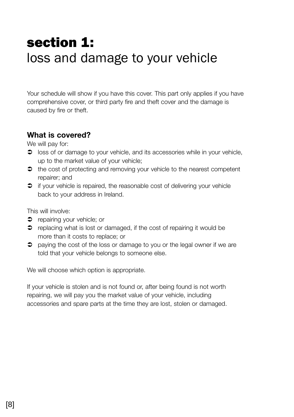## section 1: loss and damage to your vehicle

Your schedule will show if you have this cover. This part only applies if you have comprehensive cover, or third party fire and theft cover and the damage is caused by fire or theft.

### **What is covered?**

We will pay for:

- $\supset$  loss of or damage to your vehicle, and its accessories while in your vehicle, up to the market value of your vehicle;
- $\bullet$  the cost of protecting and removing your vehicle to the nearest competent repairer; and
- $\supset$  if your vehicle is repaired, the reasonable cost of delivering your vehicle back to your address in Ireland.

This will involve:

- $\Rightarrow$  repairing your vehicle; or
- $\supset$  replacing what is lost or damaged, if the cost of repairing it would be more than it costs to replace; or
- $\supset$  paying the cost of the loss or damage to you or the legal owner if we are told that your vehicle belongs to someone else.

We will choose which option is appropriate.

If your vehicle is stolen and is not found or, after being found is not worth repairing, we will pay you the market value of your vehicle, including accessories and spare parts at the time they are lost, stolen or damaged.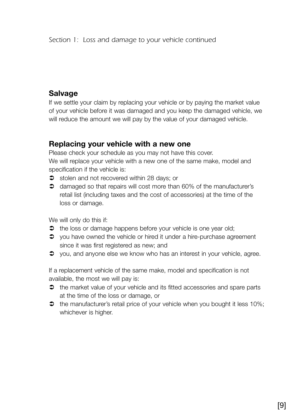## **Salvage**

If we settle your claim by replacing your vehicle or by paying the market value of your vehicle before it was damaged and you keep the damaged vehicle, we will reduce the amount we will pay by the value of your damaged vehicle.

### **Replacing your vehicle with a new one**

Please check your schedule as you may not have this cover. We will replace your vehicle with a new one of the same make, model and specification if the vehicle is:

- $\bullet$  stolen and not recovered within 28 days; or
- $\supset$  damaged so that repairs will cost more than 60% of the manufacturer's retail list (including taxes and the cost of accessories) at the time of the loss or damage.

We will only do this if:

- $\Rightarrow$  the loss or damage happens before your vehicle is one year old;
- $\supset$  vou have owned the vehicle or hired it under a hire-purchase agreement since it was first registered as new; and
- you, and anyone else we know who has an interest in your vehicle, agree.

If a replacement vehicle of the same make, model and specification is not available, the most we will pay is:

- **→** the market value of your vehicle and its fitted accessories and spare parts at the time of the loss or damage, or
- $\bullet$  the manufacturer's retail price of your vehicle when you bought it less 10%; whichever is higher.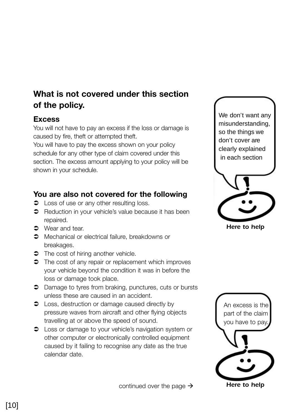## **What is not covered under this section of the policy.**

### **Excess**

You will not have to pay an excess if the loss or damage is caused by fire, theft or attempted theft.

You will have to pay the excess shown on your policy schedule for any other type of claim covered under this section. The excess amount applying to your policy will be shown in your schedule.

## **You are also not covered for the following**

- $\bullet$  Loss of use or any other resulting loss.
- **●** Reduction in your vehicle's value because it has been repaired.
- $\bullet$  Wear and tear.
- $\supset$  Mechanical or electrical failure, breakdowns or breakages.
- The cost of hiring another vehicle.
- The cost of any repair or replacement which improves your vehicle beyond the condition it was in before the loss or damage took place.
- Damage to tyres from braking, punctures, cuts or bursts unless these are caused in an accident.
- $\supset$  Loss, destruction or damage caused directly by pressure waves from aircraft and other flying objects travelling at or above the speed of sound.
- Loss or damage to your vehicle's navigation system or other computer or electronically controlled equipment caused by it failing to recognise any date as the true calendar date.



*Here to help*



continued over the page  $\rightarrow$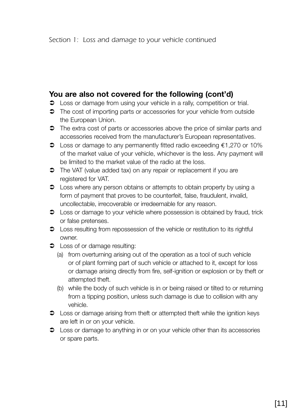### **You are also not covered for the following (cont'd)**

- $\supset$  Loss or damage from using your vehicle in a rally, competition or trial.
- $\supset$  The cost of importing parts or accessories for your vehicle from outside the European Union.
- $\supset$  The extra cost of parts or accessories above the price of similar parts and accessories received from the manufacturer's European representatives.
- Loss or damage to any permanently fitted radio exceeding €1,270 or 10% of the market value of your vehicle, whichever is the less. Any payment will be limited to the market value of the radio at the loss.
- $\supset$  The VAT (value added tax) on any repair or replacement if you are registered for VAT.
- $\supset$  Loss where any person obtains or attempts to obtain property by using a form of payment that proves to be counterfeit, false, fraudulent, invalid, uncollectable, irrecoverable or irredeemable for any reason.
- $\bullet$  Loss or damage to your vehicle where possession is obtained by fraud, trick or false pretenses.
- $\supset$  Loss resulting from repossession of the vehicle or restitution to its rightful owner.
- **C** Loss of or damage resulting:
	- (a) from overturning arising out of the operation as a tool of such vehicle or of plant forming part of such vehicle or attached to it, except for loss or damage arising directly from fire, self-ignition or explosion or by theft or attempted theft.
	- (b) while the body of such vehicle is in or being raised or tilted to or returning from a tipping position, unless such damage is due to collision with any vehicle.
- $\bullet$  Loss or damage arising from theft or attempted theft while the ignition keys are left in or on your vehicle.
- $\supset$  Loss or damage to anything in or on your vehicle other than its accessories or spare parts.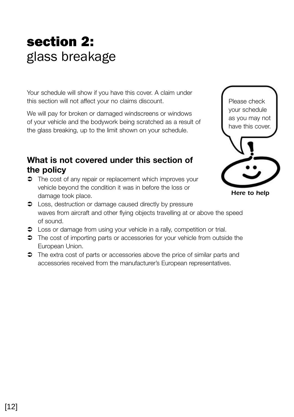## section 2: glass breakage

Your schedule will show if you have this cover. A claim under this section will not affect your no claims discount.

We will pay for broken or damaged windscreens or windows of your vehicle and the bodywork being scratched as a result of the glass breaking, up to the limit shown on your schedule.

## **What is not covered under this section of the policy**

 $\supset$  The cost of any repair or replacement which improves your vehicle beyond the condition it was in before the loss or damage took place.



*Here to help*

- $\supset$  Loss, destruction or damage caused directly by pressure waves from aircraft and other flying objects travelling at or above the speed of sound.
- $\supset$  Loss or damage from using your vehicle in a rally, competition or trial.
- $\supset$  The cost of importing parts or accessories for your vehicle from outside the European Union.
- $\supset$  The extra cost of parts or accessories above the price of similar parts and accessories received from the manufacturer's European representatives.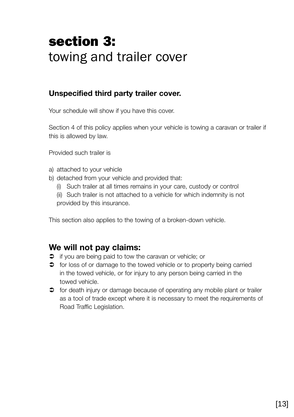## section 3: towing and trailer cover

## **Unspecified third party trailer cover.**

Your schedule will show if you have this cover.

Section 4 of this policy applies when your vehicle is towing a caravan or trailer if this is allowed by law.

Provided such trailer is

- a) attached to your vehicle
- b) detached from your vehicle and provided that:
	- (i) Such trailer at all times remains in your care, custody or control
	- (ii) Such trailer is not attached to a vehicle for which indemnity is not provided by this insurance.

This section also applies to the towing of a broken-down vehicle.

## **We will not pay claims:**

- $\supset$  if you are being paid to tow the caravan or vehicle; or
- $\supset$  for loss of or damage to the towed vehicle or to property being carried in the towed vehicle, or for injury to any person being carried in the towed vehicle.
- $\supset$  for death injury or damage because of operating any mobile plant or trailer as a tool of trade except where it is necessary to meet the requirements of Road Traffic Legislation.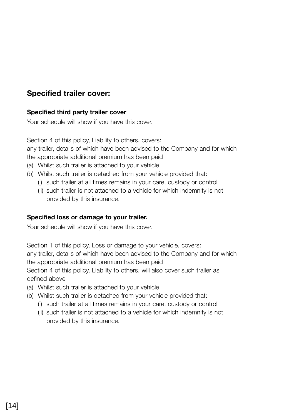## **Specified trailer cover:**

#### **Specified third party trailer cover**

Your schedule will show if you have this cover.

Section 4 of this policy, Liability to others, covers: any trailer, details of which have been advised to the Company and for which the appropriate additional premium has been paid

- (a) Whilst such trailer is attached to your vehicle
- (b) Whilst such trailer is detached from your vehicle provided that:
	- (i) such trailer at all times remains in your care, custody or control
	- (ii) such trailer is not attached to a vehicle for which indemnity is not provided by this insurance.

#### **Specified loss or damage to your trailer.**

Your schedule will show if you have this cover.

Section 1 of this policy, Loss or damage to your vehicle, covers:

any trailer, details of which have been advised to the Company and for which the appropriate additional premium has been paid

Section 4 of this policy, Liability to others, will also cover such trailer as defined above

- (a) Whilst such trailer is attached to your vehicle
- (b) Whilst such trailer is detached from your vehicle provided that:
	- (i) such trailer at all times remains in your care, custody or control
	- (ii) such trailer is not attached to a vehicle for which indemnity is not provided by this insurance.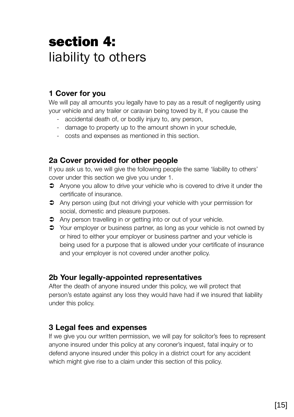## section 4: liability to others

## **1 Cover for you**

We will pay all amounts you legally have to pay as a result of negligently using your vehicle and any trailer or caravan being towed by it, if you cause the

- accidental death of, or bodily injury to, any person,
- damage to property up to the amount shown in your schedule,
- costs and expenses as mentioned in this section.

### **2a Cover provided for other people**

If you ask us to, we will give the following people the same 'liability to others' cover under this section we give you under 1.

- Anyone you allow to drive your vehicle who is covered to drive it under the certificate of insurance.
- Any person using (but not driving) your vehicle with your permission for social, domestic and pleasure purposes.
- Any person travelling in or getting into or out of your vehicle.
- Your employer or business partner, as long as your vehicle is not owned by or hired to either your employer or business partner and your vehicle is being used for a purpose that is allowed under your certificate of insurance and your employer is not covered under another policy.

## **2b Your legally-appointed representatives**

After the death of anyone insured under this policy, we will protect that person's estate against any loss they would have had if we insured that liability under this policy.

## **3 Legal fees and expenses**

If we give you our written permission, we will pay for solicitor's fees to represent anyone insured under this policy at any coroner's inquest, fatal inquiry or to defend anyone insured under this policy in a district court for any accident which might give rise to a claim under this section of this policy.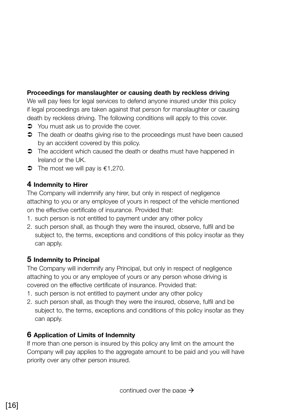#### **Proceedings for manslaughter or causing death by reckless driving**

We will pay fees for legal services to defend anyone insured under this policy if legal proceedings are taken against that person for manslaughter or causing death by reckless driving. The following conditions will apply to this cover.

- $\bullet$  You must ask us to provide the cover.
- $\supset$  The death or deaths giving rise to the proceedings must have been caused by an accident covered by this policy.
- $\supset$  The accident which caused the death or deaths must have happened in Ireland or the UK.
- $\bullet$  The most we will pay is  $\epsilon$ 1,270.

#### **4 Indemnity to Hirer**

The Company will indemnify any hirer, but only in respect of negligence attaching to you or any employee of yours in respect of the vehicle mentioned on the effective certificate of insurance. Provided that:

- 1. such person is not entitled to payment under any other policy
- 2. such person shall, as though they were the insured, observe, fulfil and be subject to, the terms, exceptions and conditions of this policy insofar as they can apply.

#### **5 Indemnity to Principal**

The Company will indemnify any Principal, but only in respect of negligence attaching to you or any employee of yours or any person whose driving is covered on the effective certificate of insurance. Provided that:

- 1. such person is not entitled to payment under any other policy
- 2. such person shall, as though they were the insured, observe, fulfil and be subject to, the terms, exceptions and conditions of this policy insofar as they can apply.

#### **6 Application of Limits of Indemnity**

If more than one person is insured by this policy any limit on the amount the Company will pay applies to the aggregate amount to be paid and you will have priority over any other person insured.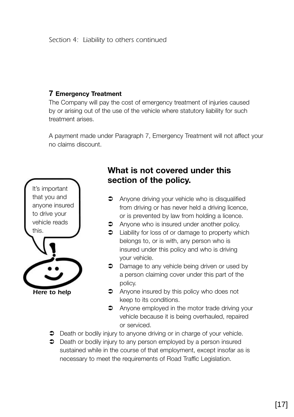#### **7 Emergency Treatment**

The Company will pay the cost of emergency treatment of injuries caused by or arising out of the use of the vehicle where statutory liability for such treatment arises.

A payment made under Paragraph 7, Emergency Treatment will not affect your no claims discount.



## **What is not covered under this section of the policy.**

- **C** Anyone driving your vehicle who is disqualified from driving or has never held a driving licence, or is prevented by law from holding a licence.
- **C** Anyone who is insured under another policy.
- $\bullet$  Liability for loss of or damage to property which belongs to, or is with, any person who is insured under this policy and who is driving your vehicle.
- **C** Damage to any vehicle being driven or used by a person claiming cover under this part of the policy.
- $\supset$  Anyone insured by this policy who does not keep to its conditions.
- **C** Anyone employed in the motor trade driving your vehicle because it is being overhauled, repaired or serviced.
- $\supset$  Death or bodily injury to anyone driving or in charge of your vehicle.
- $\supset$  Death or bodily injury to any person employed by a person insured sustained while in the course of that employment, except insofar as is necessary to meet the requirements of Road Traffic Legislation.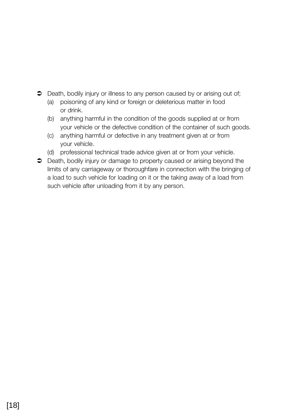- $\supset$  Death, bodily injury or illness to any person caused by or arising out of;
	- (a) poisoning of any kind or foreign or deleterious matter in food or drink.
	- (b) anything harmful in the condition of the goods supplied at or from your vehicle or the defective condition of the container of such goods.
	- (c) anything harmful or defective in any treatment given at or from your vehicle.
	- (d) professional technical trade advice given at or from your vehicle.
- Death, bodily injury or damage to property caused or arising beyond the limits of any carriageway or thoroughfare in connection with the bringing of a load to such vehicle for loading on it or the taking away of a load from such vehicle after unloading from it by any person.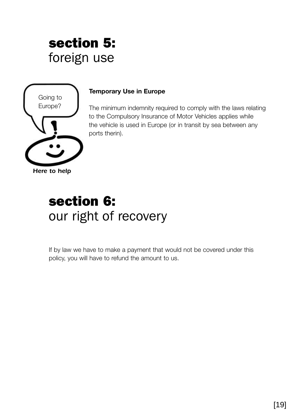## section 5: foreign use



#### **Temporary Use in Europe**

The minimum indemnity required to comply with the laws relating to the Compulsory Insurance of Motor Vehicles applies while the vehicle is used in Europe (or in transit by sea between any ports therin).

## section 6: our right of recovery

If by law we have to make a payment that would not be covered under this policy, you will have to refund the amount to us.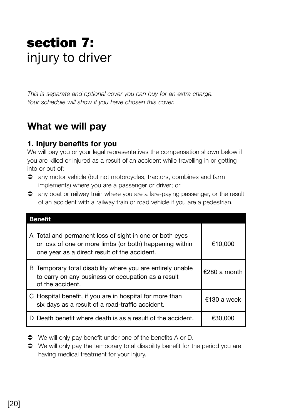## section 7: injury to driver

*This is separate and optional cover you can buy for an extra charge. Your schedule will show if you have chosen this cover.*

## **What we will pay**

### **1. Injury benefits for you**

We will pay you or your legal representatives the compensation shown below if you are killed or injured as a result of an accident while travelling in or getting into or out of:

- any motor vehicle (but not motorcycles, tractors, combines and farm implements) where you are a passenger or driver; or
- any boat or railway train where you are a fare-paying passenger, or the result of an accident with a railway train or road vehicle if you are a pedestrian.

| <b>Benefit</b>                                                                                                                                                     |              |  |
|--------------------------------------------------------------------------------------------------------------------------------------------------------------------|--------------|--|
| A Total and permanent loss of sight in one or both eyes<br>or loss of one or more limbs (or both) happening within<br>one year as a direct result of the accident. | €10.000      |  |
| B Temporary total disability where you are entirely unable<br>to carry on any business or occupation as a result<br>of the accident.                               | €280 a month |  |
| C Hospital benefit, if you are in hospital for more than<br>six days as a result of a road-traffic accident.                                                       | $£130a$ week |  |
| D Death benefit where death is as a result of the accident.                                                                                                        | €30.000      |  |

- $\bullet$  We will only pay benefit under one of the benefits A or D.
- $\supset$  We will only pay the temporary total disability benefit for the period you are having medical treatment for your injury.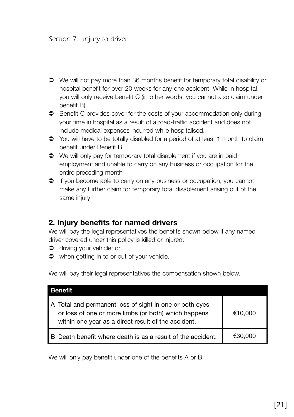- We will not pay more than 36 months benefit for temporary total disability or hospital benefit for over 20 weeks for any one accident. While in hospital you will only receive benefit C (in other words, you cannot also claim under benefit B).
- Benefit C provides cover for the costs of your accommodation only during your time in hospital as a result of a road-traffic accident and does not include medical expenses incurred while hospitalised.
- You will have to be totally disabled for a period of at least 1 month to claim benefit under Benefit B
- $\bullet$  We will only pay for temporary total disablement if you are in paid employment and unable to carry on any business or occupation for the entire preceding month
- $\supset$  If you become able to carry on any business or occupation, you cannot make any further claim for temporary total disablement arising out of the same injury

### **2. Injury benefits for named drivers**

We will pay the legal representatives the benefits shown below if any named driver covered under this policy is killed or injured:

- $\bullet$  driving your vehicle; or
- when getting in to or out of your vehicle.

We will pay their legal representatives the compensation shown below.

| <b>Benefit</b>                                                                                                                                                         |         |  |
|------------------------------------------------------------------------------------------------------------------------------------------------------------------------|---------|--|
| A Total and permanent loss of sight in one or both eyes<br>or loss of one or more limbs (or both) which happens<br>within one year as a direct result of the accident. | €10,000 |  |
| B Death benefit where death is as a result of the accident.                                                                                                            | €30.000 |  |

We will only pay benefit under one of the benefits A or B.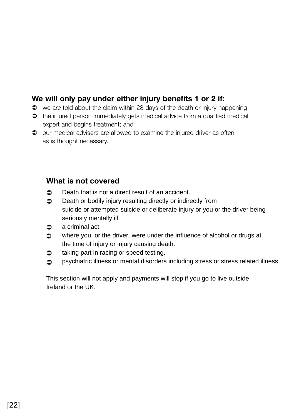## **We will only pay under either injury benefits 1 or 2 if:**

- $\bullet$  we are told about the claim within 28 days of the death or injury happening
- the injured person immediately gets medical advice from a qualified medical expert and begins treatment; and
- $\supset$  our medical advisers are allowed to examine the injured driver as often as is thought necessary.

### **What is not covered**

- $\bullet$  Death that is not a direct result of an accident.
- $\bullet$  Death or bodily injury resulting directly or indirectly from suicide or attempted suicide or deliberate injury or you or the driver being seriously mentally ill.
- $\bullet$  a criminal act.
- $\Rightarrow$  where you, or the driver, were under the influence of alcohol or drugs at the time of injury or injury causing death.
- $\bullet$  taking part in racing or speed testing.
- psychiatric illness or mental disorders including stress or stress related illness.

This section will not apply and payments will stop if you go to live outside Ireland or the UK.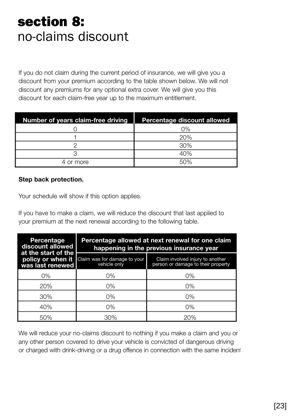## section 8: no-claims discount

If you do not claim during the current period of insurance, we will give you a discount from your premium according to the table shown below. We will not discount any premiums for any optional extra cover. We will give you this discount for each claim-free year up to the maximum entitlement.

| Number of years claim-free driving | Percentage discount allowed |
|------------------------------------|-----------------------------|
|                                    | $0\%$                       |
|                                    | 20%                         |
|                                    | 30%                         |
|                                    | 40%                         |
| 4 or more                          | 50%                         |

#### **Step back protection.**

Your schedule will show if this option applies.

If you have to make a claim, we will reduce the discount that last applied to your premium at the next renewal according to the following table.

| Percentage<br>discount allowed                               | Percentage allowed at next renewal for one claim<br>happening in the previous insurance year |                                                                        |  |
|--------------------------------------------------------------|----------------------------------------------------------------------------------------------|------------------------------------------------------------------------|--|
| at the start of the<br>policy or when it<br>was last renewed | Claim was for damage to your<br>vehicle only                                                 | Claim involved injury to another<br>person or damage to their property |  |
| 0%                                                           | 0%                                                                                           | 0%                                                                     |  |
| 20%                                                          | 0%                                                                                           | $0\%$                                                                  |  |
| 30%                                                          | $0\%$                                                                                        | 0%                                                                     |  |
| 40%                                                          | $0\%$                                                                                        | 0%                                                                     |  |
| 50%                                                          | 30%                                                                                          | 20%                                                                    |  |

We will reduce your no-claims discount to nothing if you make a claim and you or any other person covered to drive your vehicle is convicted of dangerous driving or charged with drink-driving or a drug offence in connection with the same incident.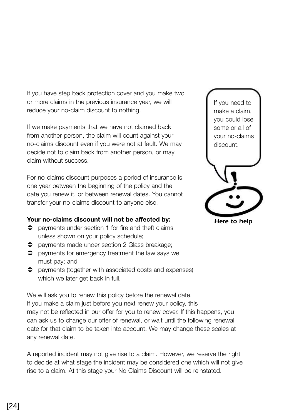If you have step back protection cover and you make two or more claims in the previous insurance year, we will reduce your no-claim discount to nothing.

If we make payments that we have not claimed back from another person, the claim will count against your no-claims discount even if you were not at fault. We may decide not to claim back from another person, or may claim without success.

For no-claims discount purposes a period of insurance is one year between the beginning of the policy and the date you renew it, or between renewal dates. You cannot transfer your no-claims discount to anyone else.

#### **Your no-claims discount will not be affected by:**

- $\supset$  payments under section 1 for fire and theft claims unless shown on your policy schedule;
- **P** payments made under section 2 Glass breakage;
- $\supset$  payments for emergency treatment the law says we must pay; and
- payments (together with associated costs and expenses) which we later get back in full.

We will ask you to renew this policy before the renewal date. If you make a claim just before you next renew your policy, this may not be reflected in our offer for you to renew cover. If this happens, you can ask us to change our offer of renewal, or wait until the following renewal date for that claim to be taken into account. We may change these scales at any renewal date.

A reported incident may not give rise to a claim. However, we reserve the right to decide at what stage the incident may be considered one which will not give rise to a claim. At this stage your No Claims Discount will be reinstated.



*Here to help*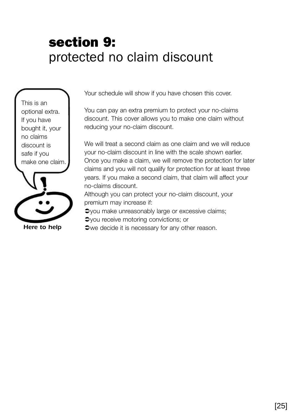## section 9: protected no claim discount

This is an optional extra. If you have bought it, your no claims discount is safe if you make one claim.



*Here to help*

Your schedule will show if you have chosen this cover.

You can pay an extra premium to protect your no-claims discount. This cover allows you to make one claim without reducing your no-claim discount.

We will treat a second claim as one claim and we will reduce your no-claim discount in line with the scale shown earlier. Once you make a claim, we will remove the protection for later claims and you will not qualify for protection for at least three years. If you make a second claim, that claim will affect your no-claims discount.

Although you can protect your no-claim discount, your premium may increase if:

 $\rightarrow$ you make unreasonably large or excessive claims;  $\rightarrow$ you receive motoring convictions; or

 $\blacktriangleright$  we decide it is necessary for any other reason.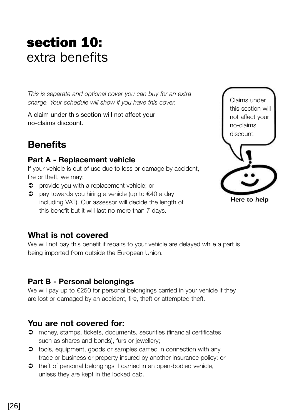## section 10: extra benefits

*This is separate and optional cover you can buy for an extra charge. Your schedule will show if you have this cover.*

A claim under this section will not affect your no-claims discount.

## **Benefits**

## **Part A - Replacement vehicle**

If your vehicle is out of use due to loss or damage by accident, fire or theft, we may:

- $\supset$  provide you with a replacement vehicle; or
- $\supset$  pay towards you hiring a vehicle (up to  $\epsilon$ 40 a day including VAT). Our assessor will decide the length of this benefit but it will last no more than 7 days.



## **What is not covered**

We will not pay this benefit if repairs to your vehicle are delayed while a part is being imported from outside the European Union.

## **Part B - Personal belongings**

We will pay up to €250 for personal belongings carried in your vehicle if they are lost or damaged by an accident, fire, theft or attempted theft.

## **You are not covered for:**

- money, stamps, tickets, documents, securities (financial certificates such as shares and bonds), furs or jewellery;
- $\bullet$  tools, equipment, goods or samples carried in connection with any trade or business or property insured by another insurance policy; or
- $\Rightarrow$  theft of personal belongings if carried in an open-bodied vehicle, unless they are kept in the locked cab.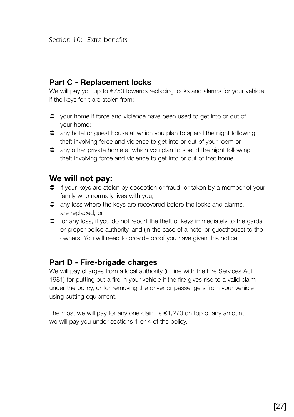### **Part C - Replacement locks**

We will pay you up to €750 towards replacing locks and alarms for your vehicle, if the keys for it are stolen from:

- $\bullet$  vour home if force and violence have been used to get into or out of your home;
- $\supset$  any hotel or quest house at which you plan to spend the night following theft involving force and violence to get into or out of your room or
- $\supset$  any other private home at which you plan to spend the night following theft involving force and violence to get into or out of that home.

## **We will not pay:**

- $\supset$  if your keys are stolen by deception or fraud, or taken by a member of your family who normally lives with you:
- $\supset$  any loss where the keys are recovered before the locks and alarms, are replaced; or
- $\bullet$  for any loss, if you do not report the theft of keys immediately to the gardai or proper police authority, and (in the case of a hotel or guesthouse) to the owners. You will need to provide proof you have given this notice.

#### **Part D - Fire-brigade charges**

We will pay charges from a local authority (in line with the Fire Services Act 1981) for putting out a fire in your vehicle if the fire gives rise to a valid claim under the policy, or for removing the driver or passengers from your vehicle using cutting equipment.

The most we will pay for any one claim is  $\epsilon$ 1,270 on top of any amount we will pay you under sections 1 or 4 of the policy.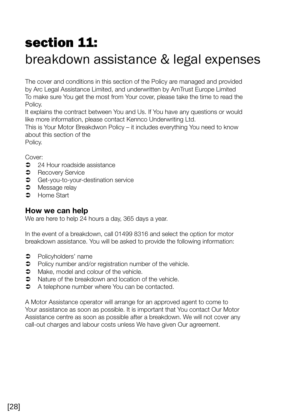## section 11:

## breakdown assistance & legal expenses

The cover and conditions in this section of the Policy are managed and provided by Arc Legal Assistance Limited, and underwritten by AmTrust Europe Limited To make sure You get the most from Your cover, please take the time to read the Policy.

It explains the contract between You and Us. If You have any questions or would like more information, please contact Kennco Underwriting Ltd.

This is Your Motor Breakdwon Policy – it includes everything You need to know about this section of the

Policy.

Cover:

- $\bullet$  24 Hour roadside assistance
- **C** Recovery Service
- **C** Get-you-to-your-destination service
- $\bullet$  Message relay
- **C** Home Start

### **How we can help**

We are here to help 24 hours a day, 365 days a year.

In the event of a breakdown, call 01499 8316 and select the option for motor breakdown assistance. You will be asked to provide the following information:

- $\bullet$  Policyholders' name
- $\supset$  Policy number and/or registration number of the vehicle.
- $\bullet$  Make, model and colour of the vehicle.
- $\degree$  Nature of the breakdown and location of the vehicle.<br> $\degree$  A telephone number where You can be contacted
- Â A telephone number where You can be contacted.

A Motor Assistance operator will arrange for an approved agent to come to Your assistance as soon as possible. It is important that You contact Our Motor Assistance centre as soon as possible after a breakdown. We will not cover any call-out charges and labour costs unless We have given Our agreement.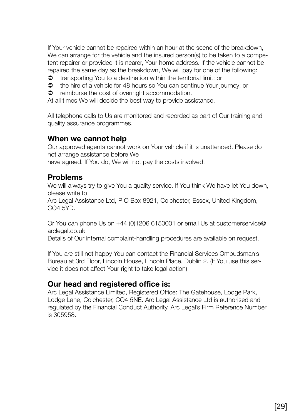If Your vehicle cannot be repaired within an hour at the scene of the breakdown, We can arrange for the vehicle and the insured person(s) to be taken to a competent repairer or provided it is nearer, Your home address. If the vehicle cannot be repaired the same day as the breakdown, We will pay for one of the following:

- $\bullet$  transporting You to a destination within the territorial limit; or
- Â the hire of a vehicle for 48 hours so You can continue Your journey; or
- $\supset$  reimburse the cost of overnight accommodation.

At all times We will decide the best way to provide assistance.

All telephone calls to Us are monitored and recorded as part of Our training and quality assurance programmes.

#### **When we cannot help**

Our approved agents cannot work on Your vehicle if it is unattended. Please do not arrange assistance before We

have agreed. If You do, We will not pay the costs involved.

### **Problems**

We will always try to give You a quality service. If You think We have let You down, please write to

Arc Legal Assistance Ltd, P O Box 8921, Colchester, Essex, United Kingdom, CO4 5YD.

Or You can phone Us on +44 (0)1206 6150001 or email Us at customerservice@ arclegal.co.uk

Details of Our internal complaint-handling procedures are available on request.

If You are still not happy You can contact the Financial Services Ombudsman's Bureau at 3rd Floor, Lincoln House, Lincoln Place, Dublin 2. (If You use this service it does not affect Your right to take legal action)

#### **Our head and registered office is:**

Arc Legal Assistance Limited, Registered Office: The Gatehouse, Lodge Park, Lodge Lane, Colchester, CO4 5NE. Arc Legal Assistance Ltd is authorised and regulated by the Financial Conduct Authority. Arc Legal's Firm Reference Number is 305958.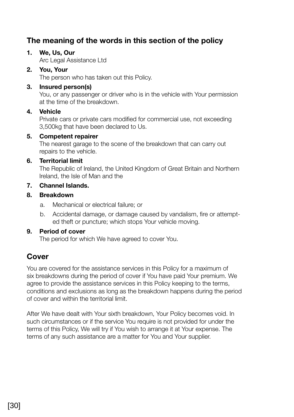## **The meaning of the words in this section of the policy**

#### **1. We, Us, Our**

Arc Legal Assistance Ltd

#### **2. You, Your**

The person who has taken out this Policy.

#### **3. Insured person(s)**

You, or any passenger or driver who is in the vehicle with Your permission at the time of the breakdown.

#### **4. Vehicle**

Private cars or private cars modified for commercial use, not exceeding 3,500kg that have been declared to Us.

#### **5. Competent repairer**

The nearest garage to the scene of the breakdown that can carry out repairs to the vehicle.

#### **6. Territorial limit**

The Republic of Ireland, the United Kingdom of Great Britain and Northern Ireland, the Isle of Man and the

#### **7. Channel Islands.**

#### **8. Breakdown**

- a. Mechanical or electrical failure; or
- b. Accidental damage, or damage caused by vandalism, fire or attempted theft or puncture; which stops Your vehicle moving.

#### **9. Period of cover**

The period for which We have agreed to cover You.

## **Cover**

You are covered for the assistance services in this Policy for a maximum of six breakdowns during the period of cover if You have paid Your premium. We agree to provide the assistance services in this Policy keeping to the terms, conditions and exclusions as long as the breakdown happens during the period of cover and within the territorial limit.

After We have dealt with Your sixth breakdown, Your Policy becomes void. In such circumstances or if the service You require is not provided for under the terms of this Policy, We will try if You wish to arrange it at Your expense. The terms of any such assistance are a matter for You and Your supplier.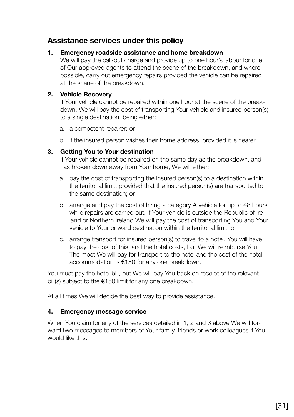### **Assistance services under this policy**

#### **1. Emergency roadside assistance and home breakdown**

We will pay the call-out charge and provide up to one hour's labour for one of Our approved agents to attend the scene of the breakdown, and where possible, carry out emergency repairs provided the vehicle can be repaired at the scene of the breakdown.

#### **2. Vehicle Recovery**

If Your vehicle cannot be repaired within one hour at the scene of the breakdown, We will pay the cost of transporting Your vehicle and insured person(s) to a single destination, being either:

- a. a competent repairer; or
- b. if the insured person wishes their home address, provided it is nearer.

#### **3. Getting You to Your destination**

If Your vehicle cannot be repaired on the same day as the breakdown, and has broken down away from Your home, We will either:

- a. pay the cost of transporting the insured person(s) to a destination within the territorial limit, provided that the insured person(s) are transported to the same destination; or
- b. arrange and pay the cost of hiring a category A vehicle for up to 48 hours while repairs are carried out, if Your vehicle is outside the Republic of Ireland or Northern Ireland We will pay the cost of transporting You and Your vehicle to Your onward destination within the territorial limit; or
- c. arrange transport for insured person(s) to travel to a hotel. You will have to pay the cost of this, and the hotel costs, but We will reimburse You. The most We will pay for transport to the hotel and the cost of the hotel accommodation is €150 for any one breakdown.

You must pay the hotel bill, but We will pay You back on receipt of the relevant bill(s) subject to the €150 limit for any one breakdown.

At all times We will decide the best way to provide assistance.

#### **4. Emergency message service**

When You claim for any of the services detailed in 1, 2 and 3 above We will forward two messages to members of Your family, friends or work colleagues if You would like this.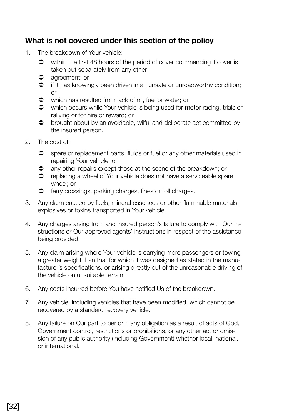## **What is not covered under this section of the policy**

- 1. The breakdown of Your vehicle:
	- $\bullet$  within the first 48 hours of the period of cover commencing if cover is taken out separately from any other
	- $\bullet$  agreement; or
	- $\bullet$  if it has knowingly been driven in an unsafe or unroadworthy condition; or
	- $\bullet$  which has resulted from lack of oil, fuel or water; or
	- which occurs while Your vehicle is being used for motor racing, trials or rallying or for hire or reward; or
	- $\bullet$  brought about by an avoidable, wilful and deliberate act committed by the insured person.
- 2. The cost of:
	- $\supset$  spare or replacement parts, fluids or fuel or any other materials used in repairing Your vehicle; or
	- $\supset$  any other repairs except those at the scene of the breakdown; or
	- $\supset$  replacing a wheel of Your vehicle does not have a serviceable spare wheel; or
	- $\bullet$  ferry crossings, parking charges, fines or toll charges.
- 3. Any claim caused by fuels, mineral essences or other flammable materials, explosives or toxins transported in Your vehicle.
- 4. Any charges arsing from and insured person's failure to comply with Our instructions or Our approved agents' instructions in respect of the assistance being provided.
- 5. Any claim arising where Your vehicle is carrying more passengers or towing a greater weight than that for which it was designed as stated in the manufacturer's specifications, or arising directly out of the unreasonable driving of the vehicle on unsuitable terrain.
- 6. Any costs incurred before You have notified Us of the breakdown.
- 7. Any vehicle, including vehicles that have been modified, which cannot be recovered by a standard recovery vehicle.
- 8. Any failure on Our part to perform any obligation as a result of acts of God, Government control, restrictions or prohibitions, or any other act or omission of any public authority (including Government) whether local, national, or international.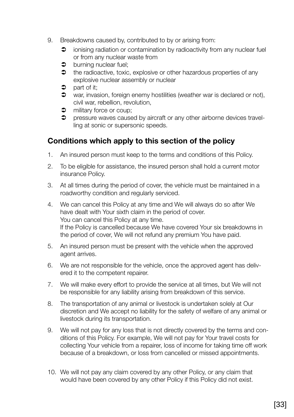- 9. Breakdowns caused by, contributed to by or arising from:
	- $\supset$  ionising radiation or contamination by radioactivity from any nuclear fuel or from any nuclear waste from
	- $\bullet$  burning nuclear fuel:
	- $\bullet$  the radioactive, toxic, explosive or other hazardous properties of any explosive nuclear assembly or nuclear
	- $\bullet$  part of it;
	- $\bullet$  war, invasion, foreign enemy hostilities (weather war is declared or not), civil war, rebellion, revolution,
	- $\bullet$  military force or coup;
	- $\supset$  pressure waves caused by aircraft or any other airborne devices travelling at sonic or supersonic speeds.

## **Conditions which apply to this section of the policy**

- 1. An insured person must keep to the terms and conditions of this Policy.
- 2. To be eligible for assistance, the insured person shall hold a current motor insurance Policy.
- 3. At all times during the period of cover, the vehicle must be maintained in a roadworthy condition and regularly serviced.
- 4. We can cancel this Policy at any time and We will always do so after We have dealt with Your sixth claim in the period of cover. You can cancel this Policy at any time. If the Policy is cancelled because We have covered Your six breakdowns in the period of cover, We will not refund any premium You have paid.
- 5. An insured person must be present with the vehicle when the approved agent arrives.
- 6. We are not responsible for the vehicle, once the approved agent has delivered it to the competent repairer.
- 7. We will make every effort to provide the service at all times, but We will not be responsible for any liability arising from breakdown of this service.
- 8. The transportation of any animal or livestock is undertaken solely at Our discretion and We accept no liability for the safety of welfare of any animal or livestock during its transportation.
- 9. We will not pay for any loss that is not directly covered by the terms and conditions of this Policy. For example, We will not pay for Your travel costs for collecting Your vehicle from a repairer, loss of income for taking time off work because of a breakdown, or loss from cancelled or missed appointments.
- 10. We will not pay any claim covered by any other Policy, or any claim that would have been covered by any other Policy if this Policy did not exist.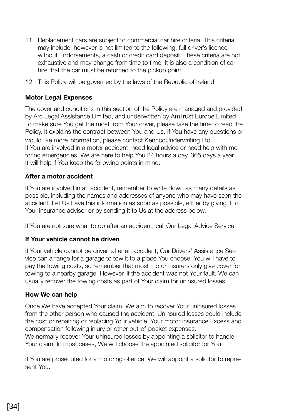- 11. Replacement cars are subject to commercial car hire criteria. This criteria may include, however is not limited to the following: full driver's licence without Endorsements, a cash or credit card deposit. These criteria are not exhaustive and may change from time to time. It is also a condition of car hire that the car must be returned to the pickup point.
- 12. This Policy will be governed by the laws of the Republic of Ireland.

#### **Motor Legal Expenses**

The cover and conditions in this section of the Policy are managed and provided by Arc Legal Assistance Limited, and underwritten by AmTrust Europe Limited To make sure You get the most from Your cover, please take the time to read the Policy. It explains the contract between You and Us. If You have any questions or would like more information, please contact KenncoUnderwriting Ltd. If You are involved in a motor accident, need legal advice or need help with motoring emergencies, We are here to help You 24 hours a day, 365 days a year. It will help if You keep the following points in mind:

#### **After a motor accident**

If You are involved in an accident, remember to write down as many details as possible, including the names and addresses of anyone who may have seen the accident. Let Us have this information as soon as possible, either by giving it to Your insurance advisor or by sending it to Us at the address below.

If You are not sure what to do after an accident, call Our Legal Advice Service.

#### **If Your vehicle cannot be driven**

If Your vehicle cannot be driven after an accident, Our Drivers' Assistance Service can arrange for a garage to tow it to a place You choose. You will have to pay the towing costs, so remember that most motor insurers only give cover for towing to a nearby garage. However, if the accident was not Your fault, We can usually recover the towing costs as part of Your claim for uninsured losses.

#### **How We can help**

Once We have accepted Your claim, We aim to recover Your uninsured losses from the other person who caused the accident. Uninsured losses could include the cost or repairing or replacing Your vehicle, Your motor insurance Excess and compensation following injury or other out-of-pocket expenses. We normally recover Your uninsured losses by appointing a solicitor to handle Your claim. In most cases, We will choose the appointed solicitor for You.

If You are prosecuted for a motoring offence, We will appoint a solicitor to represent You.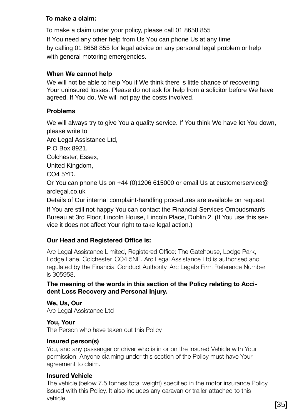#### **To make a claim:**

To make a claim under your policy, please call 01 8658 855 If You need any other help from Us You can phone Us at any time by calling 01 8658 855 for legal advice on any personal legal problem or help with general motoring emergencies.

#### **When We cannot help**

We will not be able to help You if We think there is little chance of recovering Your uninsured losses. Please do not ask for help from a solicitor before We have agreed. If You do, We will not pay the costs involved.

#### **Problems**

We will always try to give You a quality service. If You think We have let You down, please write to

Arc Legal Assistance Ltd,

P O Box 8921,

Colchester, Essex,

United Kingdom,

CO4 5YD.

Or You can phone Us on +44 (0)1206 615000 or email Us at customerservice@ arclegal.co.uk

Details of Our internal complaint-handling procedures are available on request.

If You are still not happy You can contact the Financial Services Ombudsman's Bureau at 3rd Floor, Lincoln House, Lincoln Place, Dublin 2. (If You use this service it does not affect Your right to take legal action.)

#### **Our Head and Registered Office is:**

Arc Legal Assistance Limited, Registered Office: The Gatehouse, Lodge Park, Lodge Lane, Colchester, CO4 5NE. Arc Legal Assistance Ltd is authorised and regulated by the Financial Conduct Authority. Arc Legal's Firm Reference Number is 305958.

**The meaning of the words in this section of the Policy relating to Accident Loss Recovery and Personal Injury.**

**We, Us, Our** Arc Legal Assistance Ltd

**You, Your** The Person who have taken out this Policy

#### **Insured person(s)**

You, and any passenger or driver who is in or on the Insured Vehicle with Your permission. Anyone claiming under this section of the Policy must have Your agreement to claim.

#### **Insured Vehicle**

The vehicle (below 7.5 tonnes total weight) specified in the motor insurance Policy issued with this Policy. It also includes any caravan or trailer attached to this vehicle.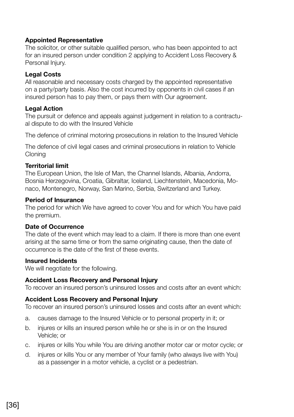#### **Appointed Representative**

The solicitor, or other suitable qualified person, who has been appointed to act for an insured person under condition 2 applying to Accident Loss Recovery & Personal Injury.

#### **Legal Costs**

All reasonable and necessary costs charged by the appointed representative on a party/party basis. Also the cost incurred by opponents in civil cases if an insured person has to pay them, or pays them with Our agreement.

#### **Legal Action**

The pursuit or defence and appeals against judgement in relation to a contractual dispute to do with the Insured Vehicle

The defence of criminal motoring prosecutions in relation to the Insured Vehicle

The defence of civil legal cases and criminal prosecutions in relation to Vehicle **Cloning** 

#### **Territorial limit**

The European Union, the Isle of Man, the Channel Islands, Albania, Andorra, Bosnia Herzegovina, Croatia, Gibraltar, Iceland, Liechtenstein, Macedonia, Monaco, Montenegro, Norway, San Marino, Serbia, Switzerland and Turkey.

#### **Period of Insurance**

The period for which We have agreed to cover You and for which You have paid the premium.

#### **Date of Occurrence**

The date of the event which may lead to a claim. If there is more than one event arising at the same time or from the same originating cause, then the date of occurrence is the date of the first of these events.

#### **Insured Incidents**

We will negotiate for the following.

#### **Accident Loss Recovery and Personal Injury**

To recover an insured person's uninsured losses and costs after an event which:

#### **Accident Loss Recovery and Personal Injury**

To recover an insured person's uninsured losses and costs after an event which:

- a. causes damage to the Insured Vehicle or to personal property in it; or
- b. injures or kills an insured person while he or she is in or on the Insured Vehicle; or
- c. injures or kills You while You are driving another motor car or motor cycle; or
- d. injures or kills You or any member of Your family (who always live with You) as a passenger in a motor vehicle, a cyclist or a pedestrian.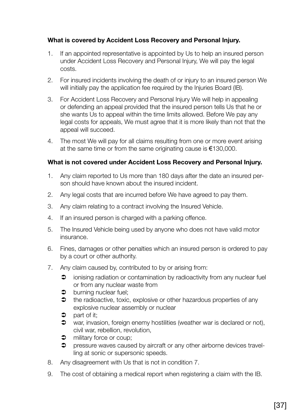#### **What is covered by Accident Loss Recovery and Personal Injury.**

- 1. If an appointed representative is appointed by Us to help an insured person under Accident Loss Recovery and Personal Injury, We will pay the legal costs.
- 2. For insured incidents involving the death of or injury to an insured person We will initially pay the application fee required by the Injuries Board (IB).
- 3. For Accident Loss Recovery and Personal Injury We will help in appealing or defending an appeal provided that the insured person tells Us that he or she wants Us to appeal within the time limits allowed. Before We pay any legal costs for appeals, We must agree that it is more likely than not that the appeal will succeed.
- 4. The most We will pay for all claims resulting from one or more event arising at the same time or from the same originating cause is €130,000.

#### **What is not covered under Accident Loss Recovery and Personal Injury.**

- 1. Any claim reported to Us more than 180 days after the date an insured person should have known about the insured incident.
- 2. Any legal costs that are incurred before We have agreed to pay them.
- 3. Any claim relating to a contract involving the Insured Vehicle.
- 4. If an insured person is charged with a parking offence.
- 5. The Insured Vehicle being used by anyone who does not have valid motor insurance.
- 6. Fines, damages or other penalties which an insured person is ordered to pay by a court or other authority.
- 7. Any claim caused by, contributed to by or arising from:
	- $\supset$  ionising radiation or contamination by radioactivity from any nuclear fuel or from any nuclear waste from
	- $\bullet$  burning nuclear fuel:
	- $\bullet$  the radioactive, toxic, explosive or other hazardous properties of any explosive nuclear assembly or nuclear
	- $\bullet$  part of it:
	- $\bullet$  war, invasion, foreign enemy hostilities (weather war is declared or not), civil war, rebellion, revolution,
	- $\bullet$  military force or coup;
	- $\supset$  pressure waves caused by aircraft or any other airborne devices travelling at sonic or supersonic speeds.
- 8. Any disagreement with Us that is not in condition 7.
- 9. The cost of obtaining a medical report when registering a claim with the IB.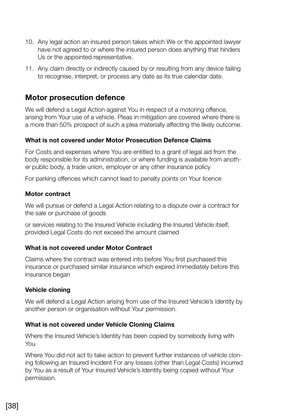- 10. Any legal action an insured person takes which We or the appointed lawyer have not agreed to or where the insured person does anything that hinders Us or the appointed representative.
- 11. Any claim directly or indirectly caused by or resulting from any device failing to recognise, interpret, or process any date as its true calendar date.

### **Motor prosecution defence**

We will defend a Legal Action against You in respect of a motoring offence, arising from Your use of a vehicle. Pleas in mitigation are covered where there is a more than 50% prospect of such a plea materially affecting the likely outcome.

#### **What is not covered under Motor Prosecution Defence Claims**

For Costs and expenses where You are entitled to a grant of legal aid from the body responsible for its administration, or where funding is available from another public body, a trade union, employer or any other insurance policy

For parking offences which cannot lead to penalty points on Your licence

#### **Motor contract**

We will pursue or defend a Legal Action relating to a dispute over a contract for the sale or purchase of goods

or services relating to the Insured Vehicle including the Insured Vehicle itself, provided Legal Costs do not exceed the amount claimed

#### **What is not covered under Motor Contract**

Claims where the contract was entered into before You first purchased this insurance or purchased similar insurance which expired immediately before this insurance began

#### **Vehicle cloning**

We will defend a Legal Action arising from use of the Insured Vehicle's identity by another person or organisation without Your permission.

#### **What is not covered under Vehicle Cloning Claims**

Where the Insured Vehicle's Identity has been copied by somebody living with You

Where You did not act to take action to prevent further instances of vehicle cloning following an Insured Incident For any losses (other than Legal Costs) incurred by You as a result of Your Insured Vehicle's Identity being copied without Your permission.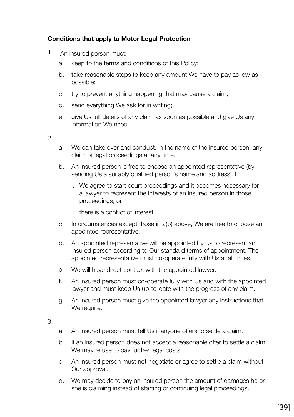#### **Conditions that apply to Motor Legal Protection**

- 1. An insured person must:
	- a. keep to the terms and conditions of this Policy;
	- b. take reasonable steps to keep any amount We have to pay as low as possible;
	- c. try to prevent anything happening that may cause a claim;
	- d. send everything We ask for in writing;
	- e. give Us full details of any claim as soon as possible and give Us any information We need.

2.

- a. We can take over and conduct, in the name of the insured person, any claim or legal proceedings at any time.
- b. An insured person is free to choose an appointed representative (by sending Us a suitably qualified person's name and address) if:
	- i. We agree to start court proceedings and it becomes necessary for a lawyer to represent the interests of an insured person in those proceedings; or
	- ii. there is a conflict of interest.
- c. In circumstances except those in 2(b) above, We are free to choose an appointed representative.
- d. An appointed representative will be appointed by Us to represent an insured person according to Our standard terms of appointment. The appointed representative must co-operate fully with Us at all times.
- e. We will have direct contact with the appointed lawyer.
- f. An insured person must co-operate fully with Us and with the appointed lawyer and must keep Us up-to-date with the progress of any claim.
- g. An insured person must give the appointed lawyer any instructions that We require.

3.

- a. An insured person must tell Us if anyone offers to settle a claim.
- b. If an insured person does not accept a reasonable offer to settle a claim, We may refuse to pay further legal costs.
- c. An insured person must not negotiate or agree to settle a claim without Our approval.
- d. We may decide to pay an insured person the amount of damages he or she is claiming instead of starting or continuing legal proceedings.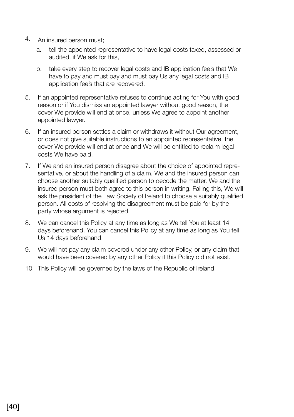- 4. An insured person must;
	- a. tell the appointed representative to have legal costs taxed, assessed or audited, if We ask for this,
	- b. take every step to recover legal costs and IB application fee's that We have to pay and must pay and must pay Us any legal costs and IB application fee's that are recovered.
- 5. If an appointed representative refuses to continue acting for You with good reason or if You dismiss an appointed lawyer without good reason, the cover We provide will end at once, unless We agree to appoint another appointed lawyer.
- 6. If an insured person settles a claim or withdraws it without Our agreement, or does not give suitable instructions to an appointed representative, the cover We provide will end at once and We will be entitled to reclaim legal costs We have paid.
- 7. If We and an insured person disagree about the choice of appointed representative, or about the handling of a claim, We and the insured person can choose another suitably qualified person to decode the matter. We and the insured person must both agree to this person in writing. Failing this, We will ask the president of the Law Society of Ireland to choose a suitably qualified person. All costs of resolving the disagreement must be paid for by the party whose argument is rejected.
- 8. We can cancel this Policy at any time as long as We tell You at least 14 days beforehand. You can cancel this Policy at any time as long as You tell Us 14 days beforehand.
- 9. We will not pay any claim covered under any other Policy, or any claim that would have been covered by any other Policy if this Policy did not exist.
- 10. This Policy will be governed by the laws of the Republic of Ireland.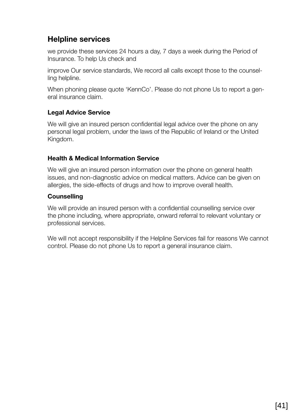## **Helpline services**

we provide these services 24 hours a day, 7 days a week during the Period of Insurance. To help Us check and

improve Our service standards, We record all calls except those to the counselling helpline.

When phoning please quote 'KennCo'. Please do not phone Us to report a general insurance claim.

#### **Legal Advice Service**

We will give an insured person confidential legal advice over the phone on any personal legal problem, under the laws of the Republic of Ireland or the United Kingdom.

#### **Health & Medical Information Service**

We will give an insured person information over the phone on general health issues, and non-diagnostic advice on medical matters. Advice can be given on allergies, the side-effects of drugs and how to improve overall health.

#### **Counselling**

We will provide an insured person with a confidential counselling service over the phone including, where appropriate, onward referral to relevant voluntary or professional services.

We will not accept responsibility if the Helpline Services fail for reasons We cannot control. Please do not phone Us to report a general insurance claim.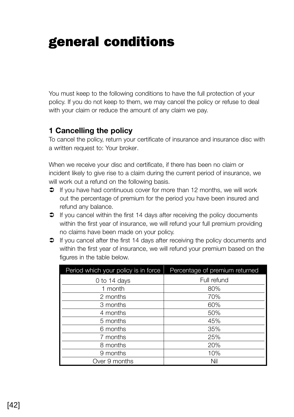## general conditions

You must keep to the following conditions to have the full protection of your policy. If you do not keep to them, we may cancel the policy or refuse to deal with your claim or reduce the amount of any claim we pay.

## **1 Cancelling the policy**

To cancel the policy, return your certificate of insurance and insurance disc with a written request to: Your broker.

When we receive your disc and certificate, if there has been no claim or incident likely to give rise to a claim during the current period of insurance, we will work out a refund on the following basis.

- $\supset$  If you have had continuous cover for more than 12 months, we will work out the percentage of premium for the period you have been insured and refund any balance.
- $\supset$  If you cancel within the first 14 days after receiving the policy documents within the first year of insurance, we will refund your full premium providing no claims have been made on your policy.
- If you cancel after the first 14 days after receiving the policy documents and within the first year of insurance, we will refund your premium based on the figures in the table below.

| Period which your policy is in force | Percentage of premium returned |
|--------------------------------------|--------------------------------|
| 0 to 14 days                         | Full refund                    |
| 1 month                              | 80%                            |
| 2 months                             | 70%                            |
| 3 months                             | 60%                            |
| 4 months                             | 50%                            |
| 5 months                             | 45%                            |
| 6 months                             | 35%                            |
| 7 months                             | 25%                            |
| 8 months                             | 20%                            |
| 9 months                             | 10%                            |
| Over 9 months                        | Nil                            |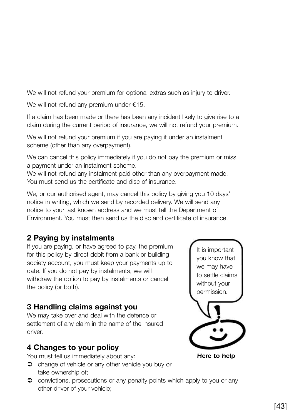We will not refund your premium for optional extras such as injury to driver.

We will not refund any premium under €15.

If a claim has been made or there has been any incident likely to give rise to a claim during the current period of insurance, we will not refund your premium.

We will not refund your premium if you are paying it under an instalment scheme (other than any overpayment).

We can cancel this policy immediately if you do not pay the premium or miss a payment under an instalment scheme.

We will not refund any instalment paid other than any overpayment made. You must send us the certificate and disc of insurance.

We, or our authorised agent, may cancel this policy by giving you 10 days' notice in writing, which we send by recorded delivery. We will send any notice to your last known address and we must tell the Department of Environment. You must then send us the disc and certificate of insurance.

## **2 Paying by instalments**

If you are paying, or have agreed to pay, the premium for this policy by direct debit from a bank or buildingsociety account, you must keep your payments up to date. If you do not pay by instalments, we will withdraw the option to pay by instalments or cancel the policy (or both).

## **3 Handling claims against you**

We may take over and deal with the defence or settlement of any claim in the name of the insured driver

## **4 Changes to your policy**

You must tell us immediately about any:

- **●** change of vehicle or any other vehicle you buy or take ownership of;
- **●** convictions, prosecutions or any penalty points which apply to you or any other driver of your vehicle;

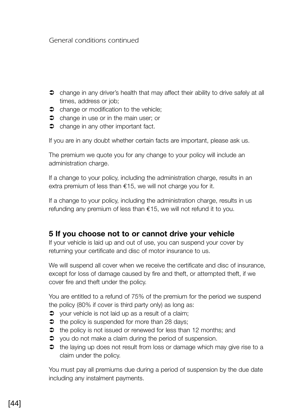*General conditions continued*

- change in any driver's health that may affect their ability to drive safely at all times, address or job;
- $\bullet$  change or modification to the vehicle;
- $\bullet$  change in use or in the main user; or
- $\bullet$  change in any other important fact.

If you are in any doubt whether certain facts are important, please ask us.

The premium we quote you for any change to your policy will include an administration charge.

If a change to your policy, including the administration charge, results in an extra premium of less than  $£15$ , we will not charge you for it.

If a change to your policy, including the administration charge, results in us refunding any premium of less than €15, we will not refund it to you.

#### **5 If you choose not to or cannot drive your vehicle**

If your vehicle is laid up and out of use, you can suspend your cover by returning your certificate and disc of motor insurance to us.

We will suspend all cover when we receive the certificate and disc of insurance, except for loss of damage caused by fire and theft, or attempted theft, if we cover fire and theft under the policy.

You are entitled to a refund of 75% of the premium for the period we suspend the policy (80% if cover is third party only) as long as:

- $\supset$  your vehicle is not laid up as a result of a claim;
- $\bullet$  the policy is suspended for more than 28 days:
- $\Rightarrow$  the policy is not issued or renewed for less than 12 months; and
- $\supset$  you do not make a claim during the period of suspension.
- $\bullet$  the laying up does not result from loss or damage which may give rise to a claim under the policy.

You must pay all premiums due during a period of suspension by the due date including any instalment payments.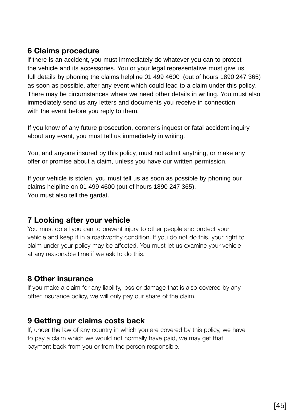## **6 Claims procedure**

If there is an accident, you must immediately do whatever you can to protect the vehicle and its accessories. You or your legal representative must give us full details by phoning the claims helpline 01 499 4600 (out of hours 1890 247 365) as soon as possible, after any event which could lead to a claim under this policy. There may be circumstances where we need other details in writing. You must also immediately send us any letters and documents you receive in connection with the event before you reply to them.

If you know of any future prosecution, coroner's inquest or fatal accident inquiry about any event, you must tell us immediately in writing.

You, and anyone insured by this policy, must not admit anything, or make any offer or promise about a claim, unless you have our written permission.

If your vehicle is stolen, you must tell us as soon as possible by phoning our claims helpline on 01 499 4600 (out of hours 1890 247 365). You must also tell the gardaí.

## **7 Looking after your vehicle**

You must do all you can to prevent injury to other people and protect your vehicle and keep it in a roadworthy condition. If you do not do this, your right to claim under your policy may be affected. You must let us examine your vehicle at any reasonable time if we ask to do this.

## **8 Other insurance**

If you make a claim for any liability, loss or damage that is also covered by any other insurance policy, we will only pay our share of the claim.

## **9 Getting our claims costs back**

If, under the law of any country in which you are covered by this policy, we have to pay a claim which we would not normally have paid, we may get that payment back from you or from the person responsible.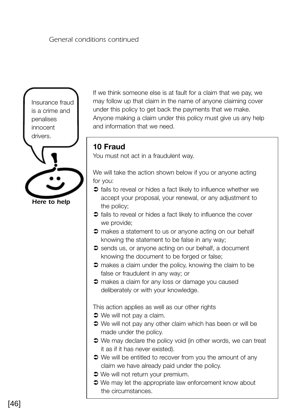#### *General conditions continued*



If we think someone else is at fault for a claim that we pay, we may follow up that claim in the name of anyone claiming cover under this policy to get back the payments that we make. Anyone making a claim under this policy must give us any help and information that we need.

### **10 Fraud**

You must not act in a fraudulent way.

We will take the action shown below if you or anyone acting for you:

- $\supset$  fails to reveal or hides a fact likely to influence whether we accept your proposal, your renewal, or any adjustment to the policy;
- $\supset$  fails to reveal or hides a fact likely to influence the cover we provide;
- $\supset$  makes a statement to us or anyone acting on our behalf knowing the statement to be false in any way;
- $\supset$  sends us, or anyone acting on our behalf, a document knowing the document to be forged or false;
- $\supset$  makes a claim under the policy, knowing the claim to be false or fraudulent in any way; or
- $\supset$  makes a claim for any loss or damage you caused deliberately or with your knowledge.

This action applies as well as our other rights

- $\bullet$  We will not pay a claim.
- $\supset$  We will not pay any other claim which has been or will be made under the policy.
- $\supset$  We may declare the policy void (in other words, we can treat it as if it has never existed).
- $\supset$  We will be entitled to recover from you the amount of any claim we have already paid under the policy.
- $\bullet$  We will not return your premium.
- $\supset$  We may let the appropriate law enforcement know about the circumstances.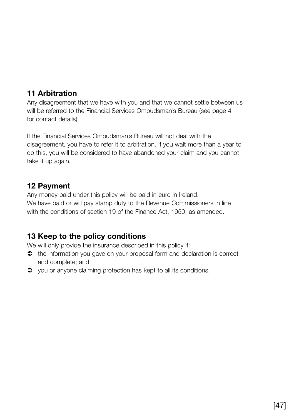## **11 Arbitration**

Any disagreement that we have with you and that we cannot settle between us will be referred to the Financial Services Ombudsman's Bureau (see page 4 for contact details).

If the Financial Services Ombudsman's Bureau will not deal with the disagreement, you have to refer it to arbitration. If you wait more than a year to do this, you will be considered to have abandoned your claim and you cannot take it up again.

### **12 Payment**

Any money paid under this policy will be paid in euro in Ireland. We have paid or will pay stamp duty to the Revenue Commissioners in line with the conditions of section 19 of the Finance Act, 1950, as amended.

## **13 Keep to the policy conditions**

We will only provide the insurance described in this policy if:

- $\bullet$  the information you gave on your proposal form and declaration is correct and complete; and
- $\supset$  you or anyone claiming protection has kept to all its conditions.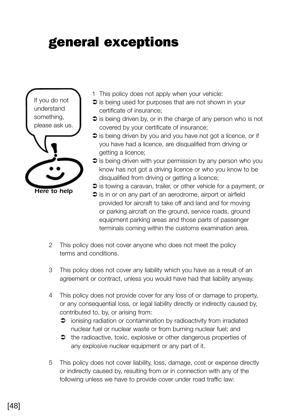## general exceptions



- 1 This policy does not apply when your vehicle:
- $\supset$  is being used for purposes that are not shown in your certificate of insurance;
- $\supset$  is being driven by, or in the charge of any person who is not covered by your certificate of insurance;
- $\supset$  is being driven by you and you have not got a licence, or if you have had a licence, are disqualified from driving or getting a licence;
- $\supset$  is being driven with your permission by any person who you know has not got a driving licence or who you know to be disqualified from driving or getting a licence;
- $\supset$  is towing a caravan, trailer, or other vehicle for a payment; or
- $\supseteq$  is in or on any part of an aerodrome, airport or airfield provided for aircraft to take off and land and for moving or parking aircraft on the ground, service roads, ground equipment parking areas and those parts of passenger terminals coming within the customs examination area.
- 2 This policy does not cover anyone who does not meet the policy terms and conditions.
- 3 This policy does not cover any liability which you have as a result of an agreement or contract, unless you would have had that liability anyway.
- 4 This policy does not provide cover for any loss of or damage to property, or any consequential loss, or legal liability directly or indirectly caused by, contributed to, by, or arising from:
	- $\supset$  ionising radiation or contamination by radioactivity from irradiated nuclear fuel or nuclear waste or from burning nuclear fuel; and
	- $\bullet$  the radioactive, toxic, explosive or other dangerous properties of any explosive nuclear equipment or any part of it.
- 5 This policy does not cover liability, loss, damage, cost or expense directly or indirectly caused by, resulting from or in connection with any of the following unless we have to provide cover under road traffic law: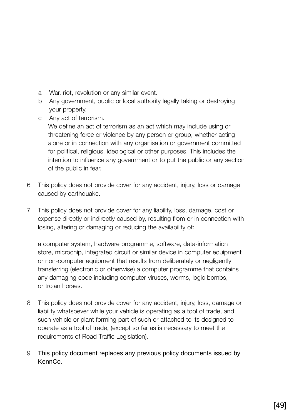- a War, riot, revolution or any similar event.
- b Any government, public or local authority legally taking or destroying your property.
- c Any act of terrorism.

We define an act of terrorism as an act which may include using or threatening force or violence by any person or group, whether acting alone or in connection with any organisation or government committed for political, religious, ideological or other purposes. This includes the intention to influence any government or to put the public or any section of the public in fear.

- 6 This policy does not provide cover for any accident, injury, loss or damage caused by earthquake.
- 7 This policy does not provide cover for any liability, loss, damage, cost or expense directly or indirectly caused by, resulting from or in connection with losing, altering or damaging or reducing the availability of:

a computer system, hardware programme, software, data-information store, microchip, integrated circuit or similar device in computer equipment or non-computer equipment that results from deliberately or negligently transferring (electronic or otherwise) a computer programme that contains any damaging code including computer viruses, worms, logic bombs, or trojan horses.

- 8 This policy does not provide cover for any accident, injury, loss, damage or liability whatsoever while your vehicle is operating as a tool of trade, and such vehicle or plant forming part of such or attached to its designed to operate as a tool of trade, (except so far as is necessary to meet the requirements of Road Traffic Legislation).
- 9 This policy document replaces any previous policy documents issued by KennCo.